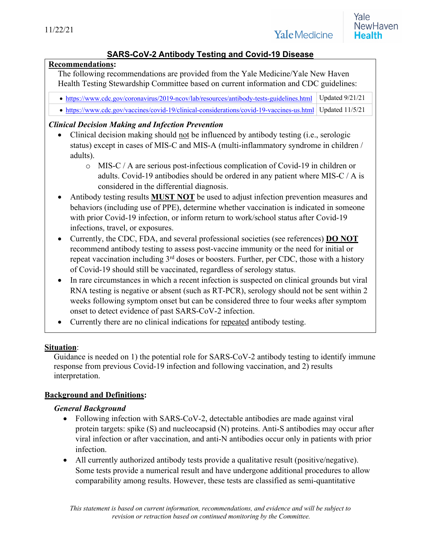# **SARS-CoV-2 Antibody Testing and Covid-19 Disease**

#### **Recommendations:**

The following recommendations are provided from the Yale Medicine/Yale New Haven Health Testing Stewardship Committee based on current information and CDC guidelines:

- https://www.cdc.gov/coronavirus/2019-ncov/lab/resources/antibody-tests-guidelines.html Updated 9/21/21
- https://www.cdc.gov/vaccines/covid-19/clinical-considerations/covid-19-vaccines-us.html Updated 11/5/21

# *Clinical Decision Making and Infection Prevention*

- Clinical decision making should not be influenced by antibody testing (i.e., serologic status) except in cases of MIS-C and MIS-A (multi-inflammatory syndrome in children / adults).
	- o MIS-C / A are serious post-infectious complication of Covid-19 in children or adults. Covid-19 antibodies should be ordered in any patient where MIS-C / A is considered in the differential diagnosis.
- Antibody testing results **MUST NOT** be used to adjust infection prevention measures and behaviors (including use of PPE), determine whether vaccination is indicated in someone with prior Covid-19 infection, or inform return to work/school status after Covid-19 infections, travel, or exposures.
- Currently, the CDC, FDA, and several professional societies (see references) **DO NOT** recommend antibody testing to assess post-vaccine immunity or the need for initial or repeat vaccination including  $3<sup>rd</sup>$  doses or boosters. Further, per CDC, those with a history of Covid-19 should still be vaccinated, regardless of serology status.
- In rare circumstances in which a recent infection is suspected on clinical grounds but viral RNA testing is negative or absent (such as RT-PCR), serology should not be sent within 2 weeks following symptom onset but can be considered three to four weeks after symptom onset to detect evidence of past SARS-CoV-2 infection.
- Currently there are no clinical indications for repeated antibody testing.

#### **Situation**:

Guidance is needed on 1) the potential role for SARS-CoV-2 antibody testing to identify immune response from previous Covid-19 infection and following vaccination, and 2) results interpretation.

# **Background and Definitions:**

# *General Background*

- Following infection with SARS-CoV-2, detectable antibodies are made against viral protein targets: spike (S) and nucleocapsid (N) proteins. Anti-S antibodies may occur after viral infection or after vaccination, and anti-N antibodies occur only in patients with prior infection.
- All currently authorized antibody tests provide a qualitative result (positive/negative). Some tests provide a numerical result and have undergone additional procedures to allow comparability among results. However, these tests are classified as semi-quantitative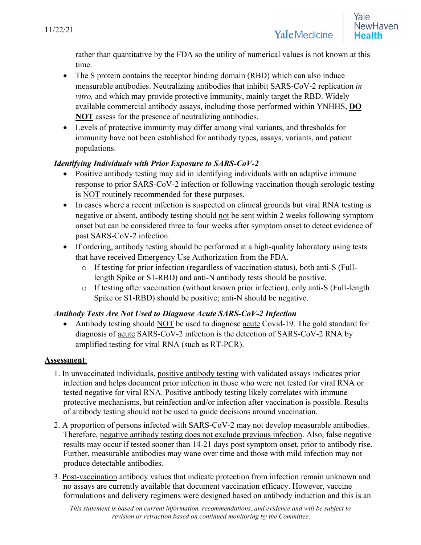rather than quantitative by the FDA so the utility of numerical values is not known at this time.

- The S protein contains the receptor binding domain (RBD) which can also induce measurable antibodies. Neutralizing antibodies that inhibit SARS-CoV-2 replication *in vitro,* and which may provide protective immunity, mainly target the RBD. Widely available commercial antibody assays, including those performed within YNHHS, **DO NOT** assess for the presence of neutralizing antibodies.
- Levels of protective immunity may differ among viral variants, and thresholds for immunity have not been established for antibody types, assays, variants, and patient populations.

### *Identifying Individuals with Prior Exposure to SARS-CoV-2*

- Positive antibody testing may aid in identifying individuals with an adaptive immune response to prior SARS-CoV-2 infection or following vaccination though serologic testing is NOT routinely recommended for these purposes.
- In cases where a recent infection is suspected on clinical grounds but viral RNA testing is negative or absent, antibody testing should not be sent within 2 weeks following symptom onset but can be considered three to four weeks after symptom onset to detect evidence of past SARS-CoV-2 infection.
- If ordering, antibody testing should be performed at a high-quality laboratory using tests that have received Emergency Use Authorization from the FDA.
	- o If testing for prior infection (regardless of vaccination status), both anti-S (Fulllength Spike or S1-RBD) and anti-N antibody tests should be positive.
	- o If testing after vaccination (without known prior infection), only anti-S (Full-length Spike or S1-RBD) should be positive; anti-N should be negative.

#### *Antibody Tests Are Not Used to Diagnose Acute SARS-CoV-2 Infection*

• Antibody testing should NOT be used to diagnose acute Covid-19. The gold standard for diagnosis of acute SARS-CoV-2 infection is the detection of SARS-CoV-2 RNA by amplified testing for viral RNA (such as RT-PCR).

#### **Assessment**:

- 1. In unvaccinated individuals, positive antibody testing with validated assays indicates prior infection and helps document prior infection in those who were not tested for viral RNA or tested negative for viral RNA. Positive antibody testing likely correlates with immune protective mechanisms, but reinfection and/or infection after vaccination is possible. Results of antibody testing should not be used to guide decisions around vaccination.
- 2. A proportion of persons infected with SARS-CoV-2 may not develop measurable antibodies. Therefore, negative antibody testing does not exclude previous infection. Also, false negative results may occur if tested sooner than 14-21 days post symptom onset, prior to antibody rise. Further, measurable antibodies may wane over time and those with mild infection may not produce detectable antibodies.
- 3. Post-vaccination antibody values that indicate protection from infection remain unknown and no assays are currently available that document vaccination efficacy. However, vaccine formulations and delivery regimens were designed based on antibody induction and this is an